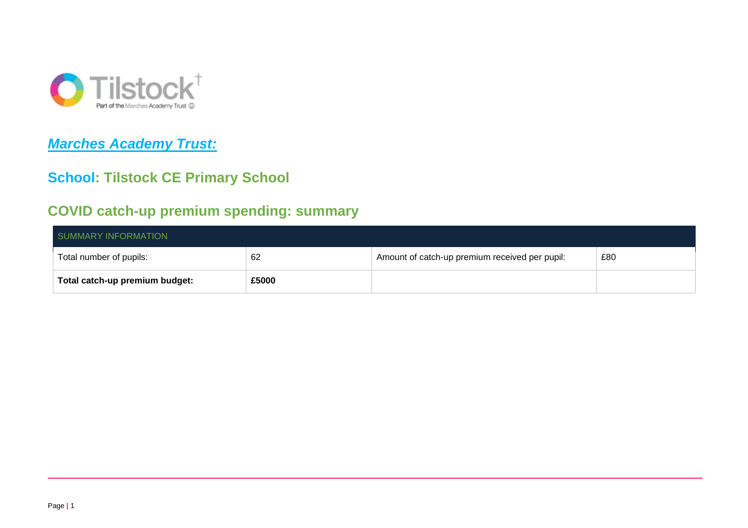

# *Marches Academy Trust:*

### **School: Tilstock CE Primary School**

### **COVID catch-up premium spending: summary**

| SUMMARY INFORMATION            |       |                                                |     |  |  |
|--------------------------------|-------|------------------------------------------------|-----|--|--|
| Total number of pupils:        | 62    | Amount of catch-up premium received per pupil: | £80 |  |  |
| Total catch-up premium budget: | £5000 |                                                |     |  |  |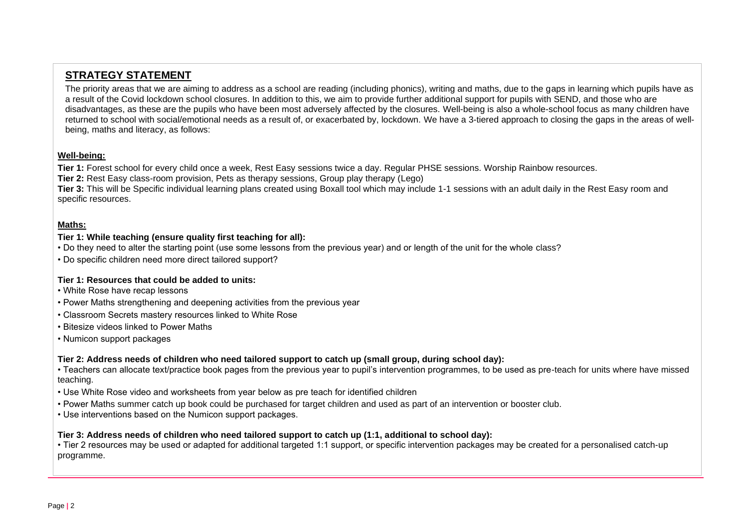### **STRATEGY STATEMENT**

The priority areas that we are aiming to address as a school are reading (including phonics), writing and maths, due to the gaps in learning which pupils have as a result of the Covid lockdown school closures. In addition to this, we aim to provide further additional support for pupils with SEND, and those who are disadvantages, as these are the pupils who have been most adversely affected by the closures. Well-being is also a whole-school focus as many children have returned to school with social/emotional needs as a result of, or exacerbated by, lockdown. We have a 3-tiered approach to closing the gaps in the areas of wellbeing, maths and literacy, as follows:

#### **Well-being:**

**Tier 1:** Forest school for every child once a week, Rest Easy sessions twice a day. Regular PHSE sessions. Worship Rainbow resources. **Tier 2:** Rest Easy class-room provision. Pets as therapy sessions, Group play therapy (Lego)

**Tier 3:** This will be Specific individual learning plans created using Boxall tool which may include 1-1 sessions with an adult daily in the Rest Easy room and specific resources.

#### **Maths:**

#### **Tier 1: While teaching (ensure quality first teaching for all):**

- Do they need to alter the starting point (use some lessons from the previous year) and or length of the unit for the whole class?
- Do specific children need more direct tailored support?

#### **Tier 1: Resources that could be added to units:**

- White Rose have recap lessons
- Power Maths strengthening and deepening activities from the previous year
- Classroom Secrets mastery resources linked to White Rose
- Bitesize videos linked to Power Maths
- Numicon support packages

#### **Tier 2: Address needs of children who need tailored support to catch up (small group, during school day):**

• Teachers can allocate text/practice book pages from the previous year to pupil's intervention programmes, to be used as pre-teach for units where have missed teaching.

- Use White Rose video and worksheets from year below as pre teach for identified children
- Power Maths summer catch up book could be purchased for target children and used as part of an intervention or booster club.
- Use interventions based on the Numicon support packages.

#### **Tier 3: Address needs of children who need tailored support to catch up (1:1, additional to school day):**

• Tier 2 resources may be used or adapted for additional targeted 1:1 support, or specific intervention packages may be created for a personalised catch-up programme.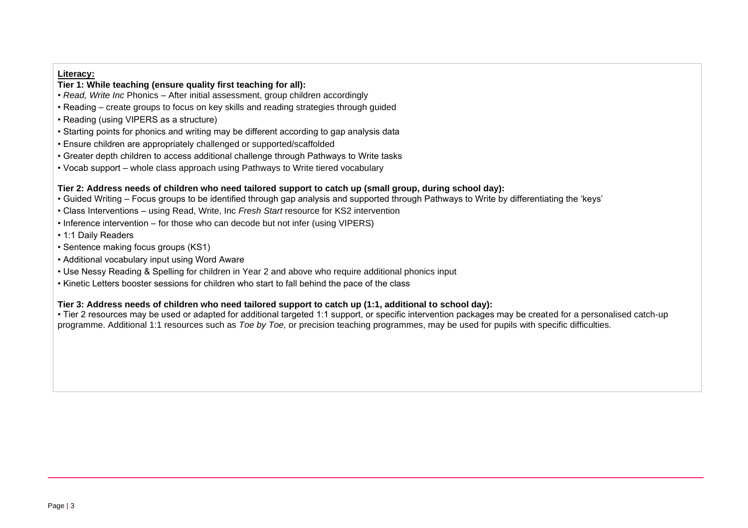#### **Literacy:**

#### **Tier 1: While teaching (ensure quality first teaching for all):**

- *Read, Write Inc* Phonics After initial assessment, group children accordingly
- Reading create groups to focus on key skills and reading strategies through guided
- Reading (using VIPERS as a structure)
- Starting points for phonics and writing may be different according to gap analysis data
- Ensure children are appropriately challenged or supported/scaffolded
- Greater depth children to access additional challenge through Pathways to Write tasks
- Vocab support whole class approach using Pathways to Write tiered vocabulary

#### **Tier 2: Address needs of children who need tailored support to catch up (small group, during school day):**

- Guided Writing Focus groups to be identified through gap analysis and supported through Pathways to Write by differentiating the 'keys'
- Class Interventions using Read, Write, Inc *Fresh Start* resource for KS2 intervention
- Inference intervention for those who can decode but not infer (using VIPERS)
- 1:1 Daily Readers
- Sentence making focus groups (KS1)
- Additional vocabulary input using Word Aware
- Use Nessy Reading & Spelling for children in Year 2 and above who require additional phonics input
- Kinetic Letters booster sessions for children who start to fall behind the pace of the class

#### **Tier 3: Address needs of children who need tailored support to catch up (1:1, additional to school day):**

• Tier 2 resources may be used or adapted for additional targeted 1:1 support, or specific intervention packages may be created for a personalised catch-up programme. Additional 1:1 resources such as *Toe by Toe,* or precision teaching programmes, may be used for pupils with specific difficulties.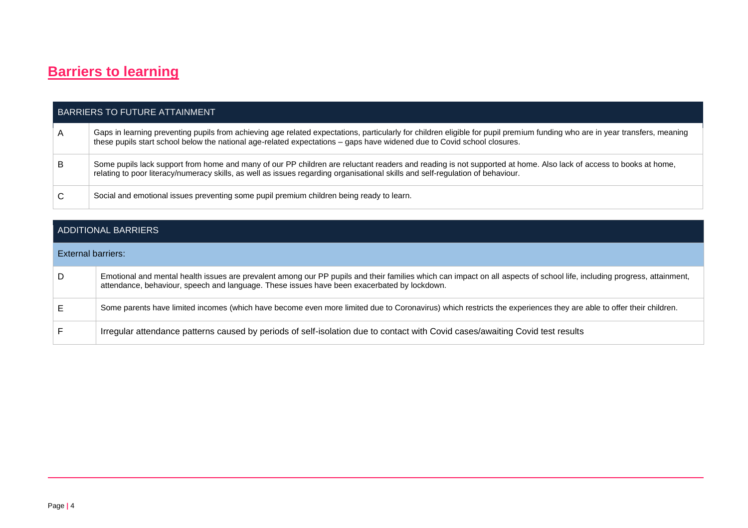# **Barriers to learning**

| <b>BARRIERS TO FUTURE ATTAINMENT</b> |                                                                                                                                                                                                                                                                                                        |  |  |  |
|--------------------------------------|--------------------------------------------------------------------------------------------------------------------------------------------------------------------------------------------------------------------------------------------------------------------------------------------------------|--|--|--|
|                                      | Gaps in learning preventing pupils from achieving age related expectations, particularly for children eligible for pupil premium funding who are in year transfers, meaning<br>these pupils start school below the national age-related expectations – gaps have widened due to Covid school closures. |  |  |  |
| B                                    | Some pupils lack support from home and many of our PP children are reluctant readers and reading is not supported at home. Also lack of access to books at home,<br>relating to poor literacy/numeracy skills, as well as issues regarding organisational skills and self-regulation of behaviour.     |  |  |  |
|                                      | Social and emotional issues preventing some pupil premium children being ready to learn.                                                                                                                                                                                                               |  |  |  |

| ADDITIONAL BARRIERS       |                                                                                                                                                                                                                                                                        |  |  |
|---------------------------|------------------------------------------------------------------------------------------------------------------------------------------------------------------------------------------------------------------------------------------------------------------------|--|--|
| <b>External barriers:</b> |                                                                                                                                                                                                                                                                        |  |  |
| D                         | Emotional and mental health issues are prevalent among our PP pupils and their families which can impact on all aspects of school life, including progress, attainment,<br>attendance, behaviour, speech and language. These issues have been exacerbated by lockdown. |  |  |
| E.                        | Some parents have limited incomes (which have become even more limited due to Coronavirus) which restricts the experiences they are able to offer their children.                                                                                                      |  |  |
|                           | Irregular attendance patterns caused by periods of self-isolation due to contact with Covid cases/awaiting Covid test results                                                                                                                                          |  |  |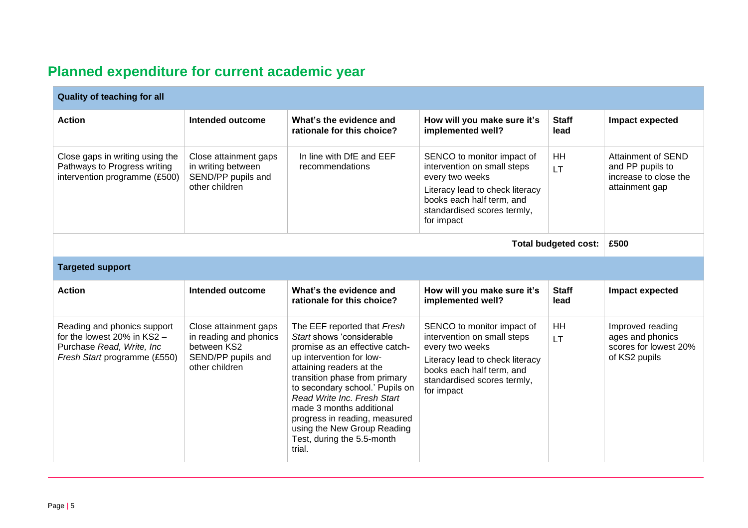# **Planned expenditure for current academic year**

| <b>Quality of teaching for all</b>                                                                                            |                                                                                                        |                                                                                                                                                                                                                                                                                                                                                                                           |                                                                                                                                                                                           |                        |                                                                                   |
|-------------------------------------------------------------------------------------------------------------------------------|--------------------------------------------------------------------------------------------------------|-------------------------------------------------------------------------------------------------------------------------------------------------------------------------------------------------------------------------------------------------------------------------------------------------------------------------------------------------------------------------------------------|-------------------------------------------------------------------------------------------------------------------------------------------------------------------------------------------|------------------------|-----------------------------------------------------------------------------------|
| <b>Action</b>                                                                                                                 | Intended outcome                                                                                       | What's the evidence and<br>rationale for this choice?                                                                                                                                                                                                                                                                                                                                     | How will you make sure it's<br>implemented well?                                                                                                                                          | <b>Staff</b><br>lead   | Impact expected                                                                   |
| Close gaps in writing using the<br>Pathways to Progress writing<br>intervention programme (£500)                              | Close attainment gaps<br>in writing between<br>SEND/PP pupils and<br>other children                    | In line with DfE and EEF<br>recommendations                                                                                                                                                                                                                                                                                                                                               | SENCO to monitor impact of<br>intervention on small steps<br>every two weeks<br>Literacy lead to check literacy<br>books each half term, and<br>standardised scores termly,<br>for impact | <b>HH</b><br><b>LT</b> | Attainment of SEND<br>and PP pupils to<br>increase to close the<br>attainment gap |
| <b>Total budgeted cost:</b>                                                                                                   |                                                                                                        |                                                                                                                                                                                                                                                                                                                                                                                           |                                                                                                                                                                                           | £500                   |                                                                                   |
| <b>Targeted support</b>                                                                                                       |                                                                                                        |                                                                                                                                                                                                                                                                                                                                                                                           |                                                                                                                                                                                           |                        |                                                                                   |
| <b>Action</b>                                                                                                                 | Intended outcome                                                                                       | What's the evidence and<br>rationale for this choice?                                                                                                                                                                                                                                                                                                                                     | How will you make sure it's<br>implemented well?                                                                                                                                          | <b>Staff</b><br>lead   | Impact expected                                                                   |
| Reading and phonics support<br>for the lowest $20\%$ in KS2 $-$<br>Purchase Read, Write, Inc.<br>Fresh Start programme (£550) | Close attainment gaps<br>in reading and phonics<br>between KS2<br>SEND/PP pupils and<br>other children | The EEF reported that Fresh<br>Start shows 'considerable<br>promise as an effective catch-<br>up intervention for low-<br>attaining readers at the<br>transition phase from primary<br>to secondary school.' Pupils on<br>Read Write Inc. Fresh Start<br>made 3 months additional<br>progress in reading, measured<br>using the New Group Reading<br>Test, during the 5.5-month<br>trial. | SENCO to monitor impact of<br>intervention on small steps<br>every two weeks<br>Literacy lead to check literacy<br>books each half term, and<br>standardised scores termly,<br>for impact | HH<br>LT.              | Improved reading<br>ages and phonics<br>scores for lowest 20%<br>of KS2 pupils    |